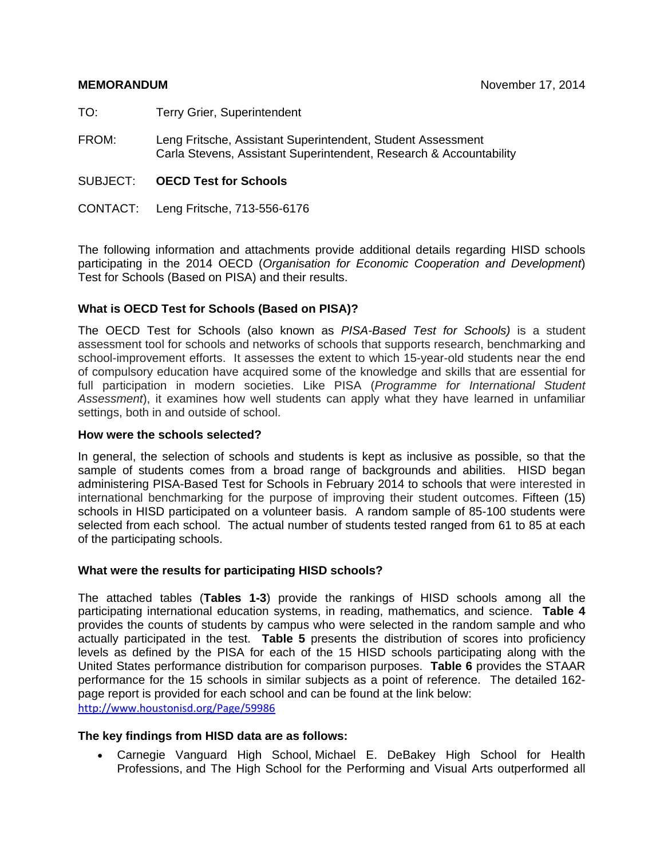TO: Terry Grier, Superintendent

- FROM: Leng Fritsche, Assistant Superintendent, Student Assessment Carla Stevens, Assistant Superintendent, Research & Accountability
- SUBJECT: **OECD Test for Schools**

CONTACT: Leng Fritsche, 713-556-6176

The following information and attachments provide additional details regarding HISD schools participating in the 2014 OECD (*Organisation for Economic Cooperation and Development*) Test for Schools (Based on PISA) and their results.

### **What is OECD Test for Schools (Based on PISA)?**

The OECD Test for Schools (also known as *PISA-Based Test for Schools)* is a student assessment tool for schools and networks of schools that supports research, benchmarking and school-improvement efforts. It assesses the extent to which 15-year-old students near the end of compulsory education have acquired some of the knowledge and skills that are essential for full participation in modern societies. Like PISA (*Programme for International Student Assessment*), it examines how well students can apply what they have learned in unfamiliar settings, both in and outside of school.

### **How were the schools selected?**

In general, the selection of schools and students is kept as inclusive as possible, so that the sample of students comes from a broad range of backgrounds and abilities. HISD began administering PISA-Based Test for Schools in February 2014 to schools that were interested in international benchmarking for the purpose of improving their student outcomes. Fifteen (15) schools in HISD participated on a volunteer basis. A random sample of 85-100 students were selected from each school. The actual number of students tested ranged from 61 to 85 at each of the participating schools.

### **What were the results for participating HISD schools?**

The attached tables (**Tables 1-3**) provide the rankings of HISD schools among all the participating international education systems, in reading, mathematics, and science. **Table 4** provides the counts of students by campus who were selected in the random sample and who actually participated in the test. **Table 5** presents the distribution of scores into proficiency levels as defined by the PISA for each of the 15 HISD schools participating along with the United States performance distribution for comparison purposes. **Table 6** provides the STAAR performance for the 15 schools in similar subjects as a point of reference. The detailed 162 page report is provided for each school and can be found at the link below: http://www.houstonisd.org/Page/59986

### **The key findings from HISD data are as follows:**

 Carnegie Vanguard High School, Michael E. DeBakey High School for Health Professions, and The High School for the Performing and Visual Arts outperformed all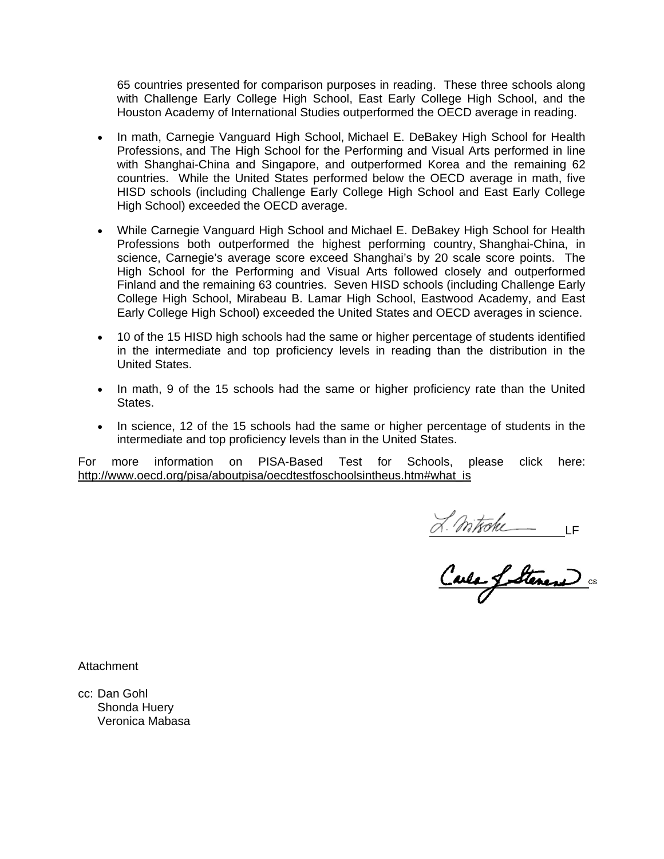65 countries presented for comparison purposes in reading. These three schools along with Challenge Early College High School, East Early College High School, and the Houston Academy of International Studies outperformed the OECD average in reading.

- In math, Carnegie Vanguard High School, Michael E. DeBakey High School for Health Professions, and The High School for the Performing and Visual Arts performed in line with Shanghai-China and Singapore, and outperformed Korea and the remaining 62 countries. While the United States performed below the OECD average in math, five HISD schools (including Challenge Early College High School and East Early College High School) exceeded the OECD average.
- While Carnegie Vanguard High School and Michael E. DeBakey High School for Health Professions both outperformed the highest performing country, Shanghai-China, in science, Carnegie's average score exceed Shanghai's by 20 scale score points. The High School for the Performing and Visual Arts followed closely and outperformed Finland and the remaining 63 countries. Seven HISD schools (including Challenge Early College High School, Mirabeau B. Lamar High School, Eastwood Academy, and East Early College High School) exceeded the United States and OECD averages in science.
- 10 of the 15 HISD high schools had the same or higher percentage of students identified in the intermediate and top proficiency levels in reading than the distribution in the United States.
- In math, 9 of the 15 schools had the same or higher proficiency rate than the United States.
- In science, 12 of the 15 schools had the same or higher percentage of students in the intermediate and top proficiency levels than in the United States.

For more information on PISA-Based Test for Schools, please click here: http://www.oecd.org/pisa/aboutpisa/oecdtestfoschoolsintheus.htm#what\_is

<u>Lantohe IF</u>

**Attachment** 

cc: Dan Gohl Shonda Huery Veronica Mabasa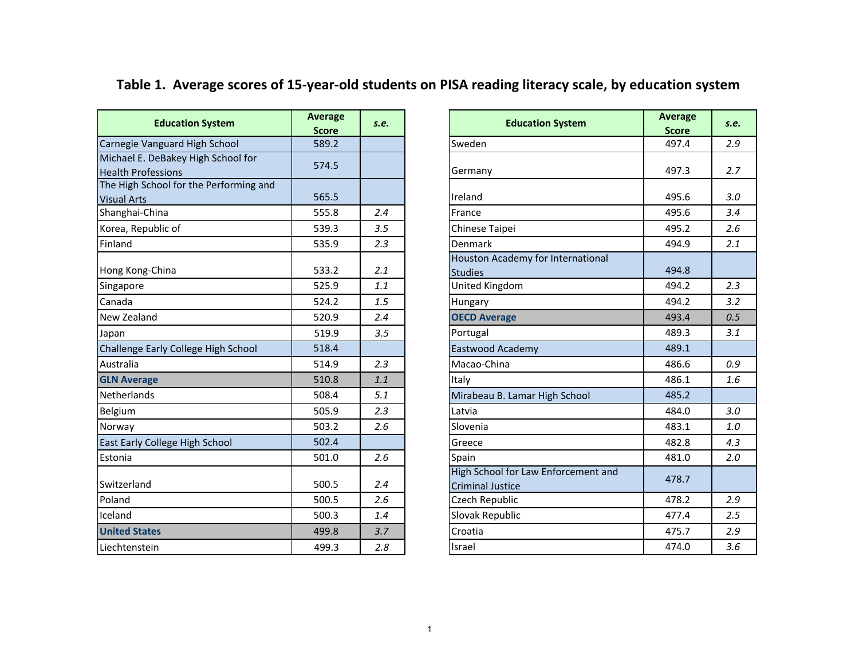# Table 1. Average scores of 15-year-old students on PISA reading literacy scale, by education system

| <b>Education System</b>                                             | <b>Average</b>        | S.e. | <b>Education System</b>             | <b>Average</b>        | s.e. |
|---------------------------------------------------------------------|-----------------------|------|-------------------------------------|-----------------------|------|
|                                                                     | <b>Score</b><br>589.2 |      | Sweden                              | <b>Score</b><br>497.4 | 2.9  |
| Carnegie Vanguard High School<br>Michael E. DeBakey High School for |                       |      |                                     |                       |      |
| <b>Health Professions</b>                                           | 574.5                 |      | Germany                             | 497.3                 | 2.7  |
| The High School for the Performing and                              |                       |      |                                     |                       |      |
| <b>Visual Arts</b>                                                  | 565.5                 |      | Ireland                             | 495.6                 | 3.0  |
| Shanghai-China                                                      | 555.8                 | 2.4  | France                              | 495.6                 | 3.4  |
| Korea, Republic of                                                  | 539.3                 | 3.5  | Chinese Taipei                      | 495.2                 | 2.6  |
| Finland                                                             | 535.9                 | 2.3  | Denmark                             | 494.9                 | 2.1  |
|                                                                     |                       |      | Houston Academy for International   |                       |      |
| Hong Kong-China                                                     | 533.2                 | 2.1  | <b>Studies</b>                      | 494.8                 |      |
| Singapore                                                           | 525.9                 | 1.1  | United Kingdom                      | 494.2                 | 2.3  |
| Canada                                                              | 524.2                 | 1.5  | Hungary                             | 494.2                 | 3.2  |
| New Zealand                                                         | 520.9                 | 2.4  | <b>OECD Average</b>                 | 493.4                 | 0.5  |
| Japan                                                               | 519.9                 | 3.5  | Portugal                            | 489.3                 | 3.1  |
| Challenge Early College High School                                 | 518.4                 |      | Eastwood Academy                    | 489.1                 |      |
| Australia                                                           | 514.9                 | 2.3  | Macao-China                         | 486.6                 | 0.9  |
| <b>GLN Average</b>                                                  | 510.8                 | 1.1  | Italy                               | 486.1                 | 1.6  |
| Netherlands                                                         | 508.4                 | 5.1  | Mirabeau B. Lamar High School       | 485.2                 |      |
| Belgium                                                             | 505.9                 | 2.3  | Latvia                              | 484.0                 | 3.0  |
| Norway                                                              | 503.2                 | 2.6  | Slovenia                            | 483.1                 | 1.0  |
| East Early College High School                                      | 502.4                 |      | Greece                              | 482.8                 | 4.3  |
| Estonia                                                             | 501.0                 | 2.6  | Spain                               | 481.0                 | 2.0  |
|                                                                     |                       |      | High School for Law Enforcement and | 478.7                 |      |
| Switzerland                                                         | 500.5                 | 2.4  | <b>Criminal Justice</b>             |                       |      |
| Poland                                                              | 500.5                 | 2.6  | Czech Republic                      | 478.2                 | 2.9  |
| Iceland                                                             | 500.3                 | 1.4  | Slovak Republic                     | 477.4                 | 2.5  |
| <b>United States</b>                                                | 499.8                 | 3.7  | Croatia                             | 475.7                 | 2.9  |
| Liechtenstein                                                       | 499.3                 | 2.8  | Israel                              | 474.0                 | 3.6  |

|                                    | <b>Average</b> |      |                                     | <b>Average</b> |      |  |
|------------------------------------|----------------|------|-------------------------------------|----------------|------|--|
| <b>Education System</b>            | <b>Score</b>   | S.e. | <b>Education System</b>             | <b>Score</b>   | S.e. |  |
| gie Vanguard High School           | 589.2          |      | Sweden                              | 497.4          | 2.9  |  |
| ael E. DeBakey High School for     | 574.5          |      |                                     |                |      |  |
| h Professions                      |                |      | Germany                             | 497.3          | 2.7  |  |
| ligh School for the Performing and |                |      |                                     |                |      |  |
| l Arts                             | 565.5          |      | Ireland                             | 495.6          | 3.0  |  |
| ghai-China                         | 555.8          | 2.4  | France                              | 495.6          | 3.4  |  |
| a, Republic of                     | 539.3          | 3.5  | Chinese Taipei                      | 495.2          | 2.6  |  |
| ١d                                 | 535.9          | 2.3  | Denmark                             | 494.9          | 2.1  |  |
|                                    |                |      | Houston Academy for International   |                |      |  |
| Kong-China                         | 533.2          | 2.1  | <b>Studies</b>                      | 494.8          |      |  |
| pore                               | 525.9          | 1.1  | United Kingdom                      | 494.2          | 2.3  |  |
| da                                 | 524.2          | 1.5  | Hungary                             | 494.2          | 3.2  |  |
| Zealand                            | 520.9          | 2.4  | <b>OECD Average</b>                 | 493.4          | 0.5  |  |
|                                    | 519.9          | 3.5  | Portugal                            | 489.3          | 3.1  |  |
| enge Early College High School     | 518.4          |      | Eastwood Academy                    | 489.1          |      |  |
| alia                               | 514.9          | 2.3  | Macao-China                         | 486.6          | 0.9  |  |
| <b>Average</b>                     | 510.8          | 1.1  | Italy                               | 486.1          | 1.6  |  |
| erlands                            | 508.4          | 5.1  | Mirabeau B. Lamar High School       | 485.2          |      |  |
| лm                                 | 505.9          | 2.3  | Latvia                              | 484.0          | 3.0  |  |
| ay                                 | 503.2          | 2.6  | Slovenia                            | 483.1          | 1.0  |  |
| <b>Early College High School</b>   | 502.4          |      | Greece                              | 482.8          | 4.3  |  |
| ia                                 | 501.0          | 2.6  | Spain                               | 481.0          | 2.0  |  |
|                                    |                |      | High School for Law Enforcement and | 478.7          |      |  |
| erland                             | 500.5          | 2.4  | <b>Criminal Justice</b>             |                |      |  |
| d                                  | 500.5          | 2.6  | Czech Republic                      | 478.2          | 2.9  |  |
| ١d                                 | 500.3          | 1.4  | Slovak Republic                     | 477.4          | 2.5  |  |
| d States                           | 499.8          | 3.7  | Croatia                             | 475.7          | 2.9  |  |
| tenstein                           | 499.3          | 2.8  | Israel                              | 474.0          | 3.6  |  |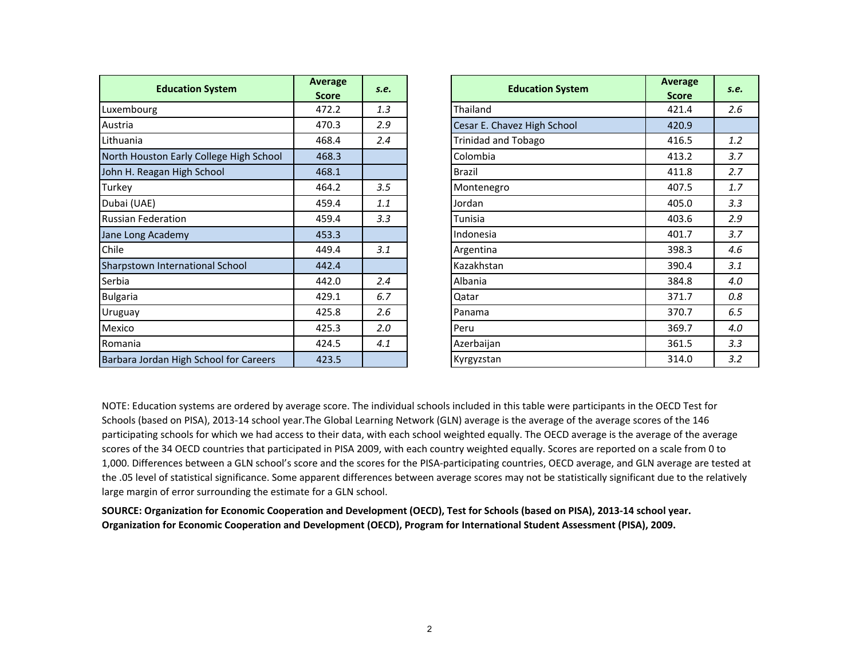|                                         | Average      |      |                             | Average      |      |
|-----------------------------------------|--------------|------|-----------------------------|--------------|------|
| <b>Education System</b>                 | <b>Score</b> | S.e. | <b>Education System</b>     | <b>Score</b> | S.e. |
| Luxembourg                              | 472.2        | 1.3  | Thailand                    | 421.4        | 2.6  |
| Austria                                 | 470.3        | 2.9  | Cesar E. Chavez High School | 420.9        |      |
| Lithuania                               | 468.4        | 2.4  | <b>Trinidad and Tobago</b>  | 416.5        | 1.2  |
| North Houston Early College High School | 468.3        |      | Colombia                    | 413.2        | 3.7  |
| John H. Reagan High School              | 468.1        |      | Brazil                      | 411.8        | 2.7  |
| Turkey                                  | 464.2        | 3.5  | Montenegro                  | 407.5        | 1.7  |
| Dubai (UAE)                             | 459.4        | 1.1  | Jordan                      | 405.0        | 3.3  |
| <b>Russian Federation</b>               | 459.4        | 3.3  | Tunisia                     | 403.6        | 2.9  |
| Jane Long Academy                       | 453.3        |      | Indonesia                   | 401.7        | 3.7  |
| Chile                                   | 449.4        | 3.1  | Argentina                   | 398.3        | 4.6  |
| Sharpstown International School         | 442.4        |      | Kazakhstan                  | 390.4        | 3.1  |
| Serbia                                  | 442.0        | 2.4  | Albania                     | 384.8        | 4.0  |
| <b>Bulgaria</b>                         | 429.1        | 6.7  | Qatar                       | 371.7        | 0.8  |
| Uruguay                                 | 425.8        | 2.6  | Panama                      | 370.7        | 6.5  |
| Mexico                                  | 425.3        | 2.0  | Peru                        | 369.7        | 4.0  |
| Romania                                 | 424.5        | 4.1  | Azerbaijan                  | 361.5        | 3.3  |
| Barbara Jordan High School for Careers  | 423.5        |      | Kyrgyzstan                  | 314.0        | 3.2  |

| ducation System             | <b>Average</b> | s.e. | <b>Education System</b>     | <b>Average</b> |         |  |
|-----------------------------|----------------|------|-----------------------------|----------------|---------|--|
|                             | <b>Score</b>   |      |                             | <b>Score</b>   | s.e.    |  |
|                             | 472.2          | 1.3  | Thailand                    | 421.4          | $2.6\,$ |  |
|                             | 470.3          | 2.9  | Cesar E. Chavez High School | 420.9          |         |  |
|                             | 468.4          | 2.4  | <b>Trinidad and Tobago</b>  | 416.5          | 1.2     |  |
| n Early College High School | 468.3          |      | Colombia                    | 413.2          | 3.7     |  |
| n High School               | 468.1          |      | <b>Brazil</b>               | 411.8          | 2.7     |  |
|                             | 464.2          | 3.5  | Montenegro                  | 407.5          | 1.7     |  |
|                             | 459.4          | 1.1  | Jordan                      | 405.0          | 3.3     |  |
| ation                       | 459.4          | 3.3  | Tunisia                     | 403.6          | 2.9     |  |
| demy                        | 453.3          |      | Indonesia                   | 401.7          | 3.7     |  |
|                             | 449.4          | 3.1  | Argentina                   | 398.3          | 4.6     |  |
| ternational School          | 442.4          |      | Kazakhstan                  | 390.4          | 3.1     |  |
|                             | 442.0          | 2.4  | Albania                     | 384.8          | 4.0     |  |
|                             | 429.1          | 6.7  | Qatar                       | 371.7          | 0.8     |  |
|                             | 425.8          | 2.6  | Panama                      | 370.7          | 6.5     |  |
|                             | 425.3          | 2.0  | Peru                        | 369.7          | 4.0     |  |
|                             | 424.5          | 4.1  | Azerbaijan                  | 361.5          | 3.3     |  |
| n High School for Careers   | 423.5          |      | Kyrgyzstan                  | 314.0          | 3.2     |  |

NOTE: Education systems are ordered by average score. The individual schools included in this table were participants in the OECD Test for Schools (based on PISA), 2013‐14 school year.The Global Learning Network (GLN) average is the average of the average scores of the 146 participating schools for which we had access to their data, with each school weighted equally. The OECD average is the average of the average scores of the 34 OECD countries that participated in PISA 2009, with each country weighted equally. Scores are reported on <sup>a</sup> scale from 0 to 1,000. Differences between <sup>a</sup> GLN school's score and the scores for the PISA‐participating countries, OECD average, and GLN average are tested at the .05 level of statistical significance. Some apparent differences between average scores may not be statistically significant due to the relatively large margin of error surrounding the estimate for <sup>a</sup> GLN school.

SOURCE: Organization for Economic Cooperation and Development (OECD), Test for Schools (based on PISA), 2013-14 school year. **Organization for Economic Cooperation and Development (OECD), Program for International Student Assessment (PISA), 2009.**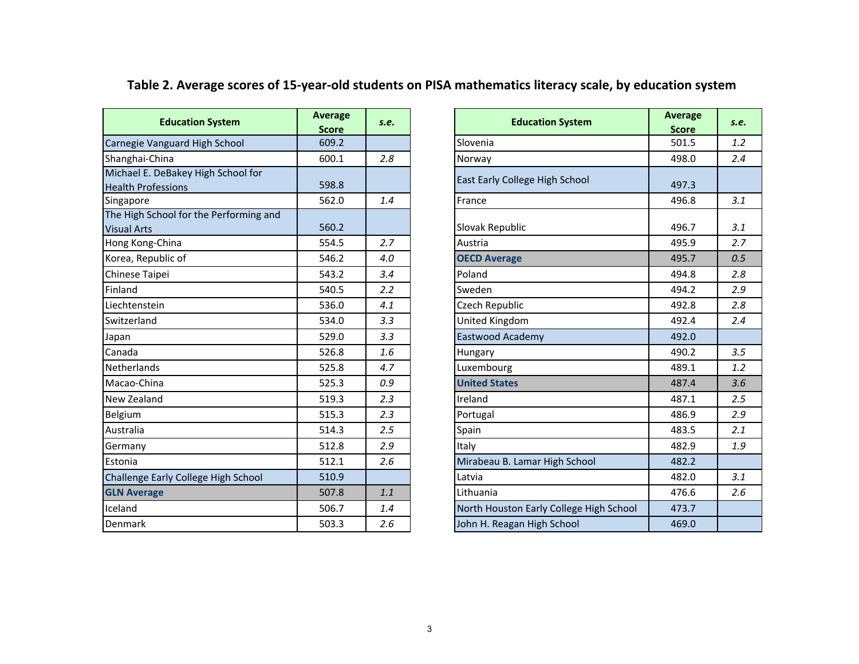| <b>Education System</b>                                         | <b>Average</b><br><b>Score</b> | S.e. | <b>Education System</b>                 | Average<br><b>Score</b> | s.e. |
|-----------------------------------------------------------------|--------------------------------|------|-----------------------------------------|-------------------------|------|
| Carnegie Vanguard High School                                   | 609.2                          |      | Slovenia                                | 501.5                   | 1.2  |
| Shanghai-China                                                  | 600.1                          | 2.8  | Norway                                  | 498.0                   | 2.4  |
| Michael E. DeBakey High School for<br><b>Health Professions</b> | 598.8                          |      | East Early College High School          | 497.3                   |      |
| Singapore                                                       | 562.0                          | 1.4  | France                                  | 496.8                   | 3.1  |
| The High School for the Performing and<br><b>Visual Arts</b>    | 560.2                          |      | Slovak Republic                         | 496.7                   | 3.1  |
| Hong Kong-China                                                 | 554.5                          | 2.7  | Austria                                 | 495.9                   | 2.7  |
| Korea, Republic of                                              | 546.2                          | 4.0  | <b>OECD Average</b>                     | 495.7                   | 0.5  |
| Chinese Taipei                                                  | 543.2                          | 3.4  | Poland                                  | 494.8                   | 2.8  |
| Finland                                                         | 540.5                          | 2.2  | Sweden                                  | 494.2                   | 2.9  |
| Liechtenstein                                                   | 536.0                          | 4.1  | <b>Czech Republic</b>                   | 492.8                   | 2.8  |
| Switzerland                                                     | 534.0                          | 3.3  | United Kingdom                          | 492.4                   | 2.4  |
| Japan                                                           | 529.0                          | 3.3  | Eastwood Academy                        | 492.0                   |      |
| Canada                                                          | 526.8                          | 1.6  | <b>Hungary</b>                          | 490.2                   | 3.5  |
| <b>Netherlands</b>                                              | 525.8                          | 4.7  | Luxembourg                              | 489.1                   | 1.2  |
| Macao-China                                                     | 525.3                          | 0.9  | <b>United States</b>                    | 487.4                   | 3.6  |
| New Zealand                                                     | 519.3                          | 2.3  | Ireland                                 | 487.1                   | 2.5  |
| Belgium                                                         | 515.3                          | 2.3  | Portugal                                | 486.9                   | 2.9  |
| Australia                                                       | 514.3                          | 2.5  | Spain                                   | 483.5                   | 2.1  |
| Germany                                                         | 512.8                          | 2.9  | Italy                                   | 482.9                   | 1.9  |
| Estonia                                                         | 512.1                          | 2.6  | Mirabeau B. Lamar High School           | 482.2                   |      |
| Challenge Early College High School                             | 510.9                          |      | Latvia                                  | 482.0                   | 3.1  |
| <b>GLN Average</b>                                              | 507.8                          | 1.1  | Lithuania                               | 476.6                   | 2.6  |
| Iceland                                                         | 506.7                          | 1.4  | North Houston Early College High School | 473.7                   |      |
| Denmark                                                         | 503.3                          | 2.6  | John H. Reagan High School              | 469.0                   |      |

| <b>Education System</b>                      | Average<br><b>Score</b> | S.e. | <b>Education System</b>                 | <b>Average</b><br><b>Score</b> |
|----------------------------------------------|-------------------------|------|-----------------------------------------|--------------------------------|
| gie Vanguard High School                     | 609.2                   |      | Slovenia                                | 501.5                          |
| hai-China                                    | 600.1                   | 2.8  | Norway                                  | 498.0                          |
| el E. DeBakey High School for<br>Professions | 598.8                   |      | East Early College High School          | 497.3                          |
| ore                                          | 562.0                   | 1.4  | France                                  | 496.8                          |
| igh School for the Performing and<br>Arts    | 560.2                   |      | Slovak Republic                         | 496.7                          |
| Kong-China                                   | 554.5                   | 2.7  | Austria                                 | 495.9                          |
| , Republic of                                | 546.2                   | 4.0  | <b>OECD Average</b>                     | 495.7                          |
| se Taipei                                    | 543.2                   | 3.4  | Poland                                  | 494.8                          |
| d                                            | 540.5                   | 2.2  | Sweden                                  | 494.2                          |
| enstein                                      | 536.0                   | 4.1  | Czech Republic                          | 492.8                          |
| rland                                        | 534.0                   | 3.3  | United Kingdom                          | 492.4                          |
|                                              | 529.0                   | 3.3  | Eastwood Academy                        | 492.0                          |
| la.                                          | 526.8                   | 1.6  | Hungary                                 | 490.2                          |
| rlands                                       | 525.8                   | 4.7  | Luxembourg                              | 489.1                          |
| b-China                                      | 525.3                   | 0.9  | <b>United States</b>                    | 487.4                          |
| ealand                                       | 519.3                   | 2.3  | Ireland                                 | 487.1                          |
| m                                            | 515.3                   | 2.3  | Portugal                                | 486.9                          |
| alia                                         | 514.3                   | 2.5  | Spain                                   | 483.5                          |
| any                                          | 512.8                   | 2.9  | Italy                                   | 482.9                          |
| a                                            | 512.1                   | 2.6  | Mirabeau B. Lamar High School           | 482.2                          |
| nge Early College High School                | 510.9                   |      | Latvia                                  | 482.0                          |
| verage                                       | 507.8                   | 1.1  | Lithuania                               | 476.6                          |
| d                                            | 506.7                   | 1.4  | North Houston Early College High School | 473.7                          |
| ark                                          | 503.3                   | 2.6  | John H. Reagan High School              | 469.0                          |

## Table 2. Average scores of 15-year-old students on PISA mathematics literacy scale, by education system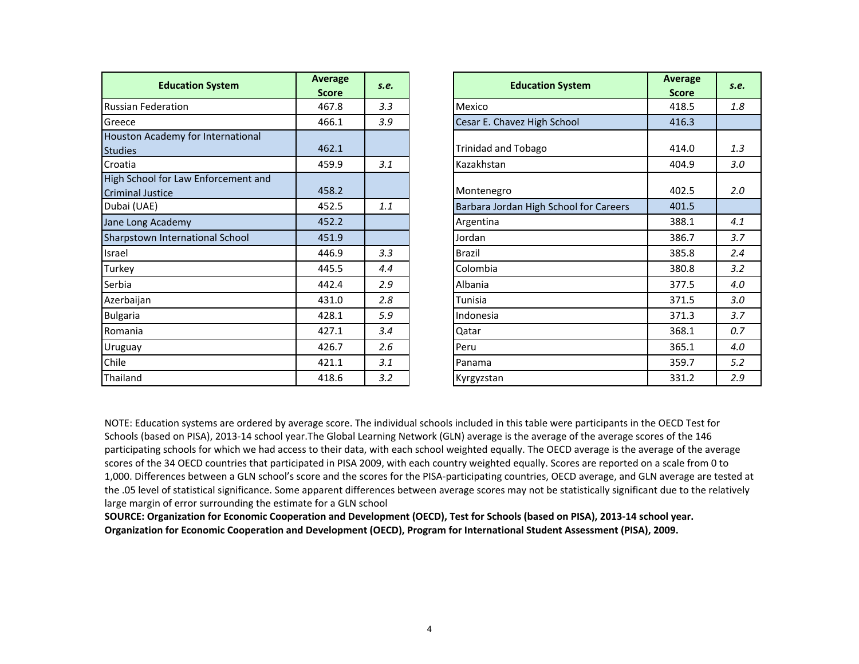| <b>Education System</b>                                        | Average<br><b>Score</b> | S.e. | <b>Education System</b>                | Average<br><b>Score</b> | S.e. |
|----------------------------------------------------------------|-------------------------|------|----------------------------------------|-------------------------|------|
| <b>Russian Federation</b>                                      | 467.8                   | 3.3  | Mexico                                 | 418.5                   | 1.8  |
| Greece                                                         | 466.1                   | 3.9  | Cesar E. Chavez High School            | 416.3                   |      |
| Houston Academy for International<br><b>Studies</b>            | 462.1                   |      | <b>Trinidad and Tobago</b>             | 414.0                   | 1.3  |
| Croatia                                                        | 459.9                   | 3.1  | Kazakhstan                             | 404.9                   | 3.0  |
| High School for Law Enforcement and<br><b>Criminal Justice</b> | 458.2                   |      | Montenegro                             | 402.5                   | 2.0  |
| Dubai (UAE)                                                    | 452.5                   | 1.1  | Barbara Jordan High School for Careers | 401.5                   |      |
| Jane Long Academy                                              | 452.2                   |      | Argentina                              | 388.1                   | 4.1  |
| Sharpstown International School                                | 451.9                   |      | Jordan                                 | 386.7                   | 3.7  |
| Israel                                                         | 446.9                   | 3.3  | <b>Brazil</b>                          | 385.8                   | 2.4  |
| Turkey                                                         | 445.5                   | 4.4  | Colombia                               | 380.8                   | 3.2  |
| Serbia                                                         | 442.4                   | 2.9  | Albania                                | 377.5                   | 4.0  |
| Azerbaijan                                                     | 431.0                   | 2.8  | Tunisia                                | 371.5                   | 3.0  |
| <b>Bulgaria</b>                                                | 428.1                   | 5.9  | Indonesia                              | 371.3                   | 3.7  |
| Romania                                                        | 427.1                   | 3.4  | Qatar                                  | 368.1                   | 0.7  |
| <b>Uruguay</b>                                                 | 426.7                   | 2.6  | Peru                                   | 365.1                   | 4.0  |
| Chile                                                          | 421.1                   | 3.1  | Panama                                 | 359.7                   | 5.2  |
| Thailand                                                       | 418.6                   | 3.2  | Kyrgyzstan                             | 331.2                   | 2.9  |

NOTE: Education systems are ordered by average score. The individual schools included in this table were participants in the OECD Test for Schools (based on PISA), <sup>2013</sup>‐<sup>14</sup> school year.The Global Learning Network (GLN) average is the average of the average scores of the <sup>146</sup> participating schools for which we had access to their data, with each school weighted equally. The OECD average is the average of the average scores of the 34 OECD countries that participated in PISA 2009, with each country weighted equally. Scores are reported on a scale from 0 to<br>1.000. Differences hetweene CIALschaal's seems and the seems family. DISA mentici 1,000. Differences between <sup>a</sup> GLN school's score and the scores for the PISA‐participating countries, OECD average, and GLN average are tested at the .05 level of statistical significance. Some apparent differences between average scores may not be statistically significant due to the relatively large margin of error surrounding the estimate for a GLN school

SOURCE: Organization for Economic Cooperation and Development (OECD), Test for Schools (based on PISA), 2013-14 school year. **Organization for Economic Cooperation and Development (OECD), Program for International Student Assessment (PISA), 2009.**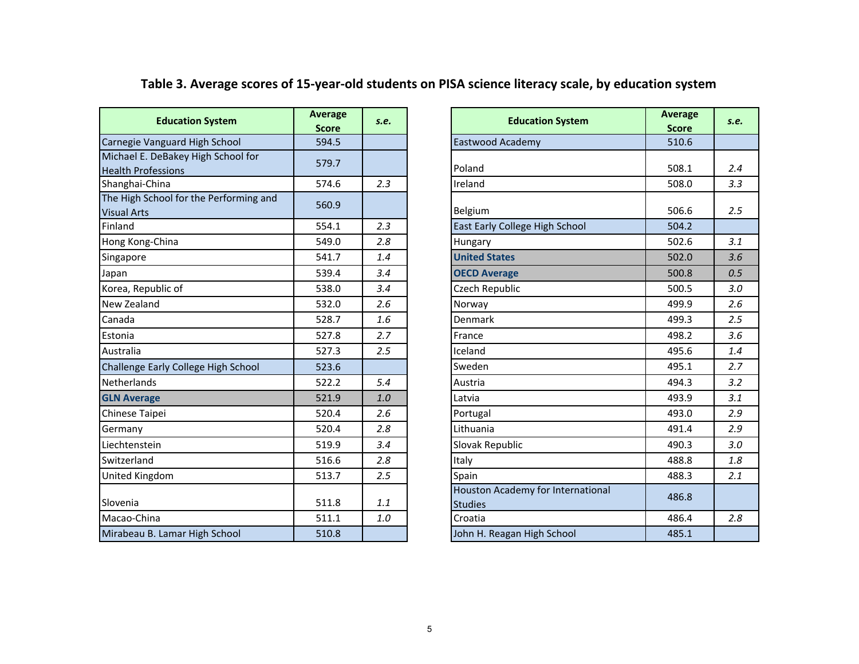| <b>Education System</b>                                         | Average<br><b>Score</b> | S.e. | <b>Education System</b>                             | <b>Average</b><br><b>Score</b> | s.e. |
|-----------------------------------------------------------------|-------------------------|------|-----------------------------------------------------|--------------------------------|------|
| Carnegie Vanguard High School                                   | 594.5                   |      | Eastwood Academy                                    | 510.6                          |      |
| Michael E. DeBakey High School for<br><b>Health Professions</b> | 579.7                   |      | Poland                                              | 508.1                          | 2.4  |
| Shanghai-China                                                  | 574.6                   | 2.3  | Ireland                                             | 508.0                          | 3.3  |
| The High School for the Performing and<br><b>Visual Arts</b>    | 560.9                   |      | <b>Belgium</b>                                      | 506.6                          | 2.5  |
| Finland                                                         | 554.1                   | 2.3  | East Early College High School                      | 504.2                          |      |
| Hong Kong-China                                                 | 549.0                   | 2.8  | Hungary                                             | 502.6                          | 3.1  |
| Singapore                                                       | 541.7                   | 1.4  | <b>United States</b>                                | 502.0                          | 3.6  |
| Japan                                                           | 539.4                   | 3.4  | <b>OECD Average</b>                                 | 500.8                          | 0.5  |
| Korea, Republic of                                              | 538.0                   | 3.4  | Czech Republic                                      | 500.5                          | 3.0  |
| New Zealand                                                     | 532.0                   | 2.6  | Norway                                              | 499.9                          | 2.6  |
| Canada                                                          | 528.7                   | 1.6  | Denmark                                             | 499.3                          | 2.5  |
| Estonia                                                         | 527.8                   | 2.7  | France                                              | 498.2                          | 3.6  |
| Australia                                                       | 527.3                   | 2.5  | Iceland                                             | 495.6                          | 1.4  |
| Challenge Early College High School                             | 523.6                   |      | Sweden                                              | 495.1                          | 2.7  |
| Netherlands                                                     | 522.2                   | 5.4  | Austria                                             | 494.3                          | 3.2  |
| <b>GLN Average</b>                                              | 521.9                   | 1.0  | Latvia                                              | 493.9                          | 3.1  |
| Chinese Taipei                                                  | 520.4                   | 2.6  | Portugal                                            | 493.0                          | 2.9  |
| Germany                                                         | 520.4                   | 2.8  | Lithuania                                           | 491.4                          | 2.9  |
| Liechtenstein                                                   | 519.9                   | 3.4  | Slovak Republic                                     | 490.3                          | 3.0  |
| Switzerland                                                     | 516.6                   | 2.8  | Italy                                               | 488.8                          | 1.8  |
| <b>United Kingdom</b>                                           | 513.7                   | 2.5  | Spain                                               | 488.3                          | 2.1  |
| Slovenia                                                        | 511.8                   | 1.1  | Houston Academy for International<br><b>Studies</b> | 486.8                          |      |
| Macao-China                                                     | 511.1                   | 1.0  | Croatia                                             | 486.4                          | 2.8  |
| Mirabeau B. Lamar High School                                   | 510.8                   |      | John H. Reagan High School                          | 485.1                          |      |
|                                                                 |                         |      |                                                     |                                |      |

Table 3. Average scores of 15-year-old students on PISA science literacy scale, by education system

| <b>Education System</b>                         | <b>Average</b><br><b>Score</b> | S.e. | <b>Education System</b>                             | <b>Average</b><br><b>Score</b> | s.e. |
|-------------------------------------------------|--------------------------------|------|-----------------------------------------------------|--------------------------------|------|
| gie Vanguard High School                        | 594.5                          |      | Eastwood Academy                                    | 510.6                          |      |
| ael E. DeBakey High School for<br>h Professions | 579.7                          |      | Poland                                              | 508.1                          | 2.4  |
| <b>zhai-China</b>                               | 574.6                          | 2.3  | Ireland                                             | 508.0                          | 3.3  |
| ligh School for the Performing and<br>l Arts    | 560.9                          |      | Belgium                                             | 506.6                          | 2.5  |
| ١d                                              | 554.1                          | 2.3  | East Early College High School                      | 504.2                          |      |
| Kong-China                                      | 549.0                          | 2.8  | Hungary                                             | 502.6                          | 3.1  |
| pore                                            | 541.7                          | 1.4  | <b>United States</b>                                | 502.0                          | 3.6  |
|                                                 | 539.4                          | 3.4  | <b>OECD Average</b>                                 | 500.8                          | 0.5  |
| , Republic of                                   | 538.0                          | 3.4  | Czech Republic                                      | 500.5                          | 3.0  |
| Zealand                                         | 532.0                          | 2.6  | Norway                                              | 499.9                          | 2.6  |
| da                                              | 528.7                          | 1.6  | Denmark                                             | 499.3                          | 2.5  |
| ia                                              | 527.8                          | 2.7  | France                                              | 498.2                          | 3.6  |
| alia                                            | 527.3                          | 2.5  | Iceland                                             | 495.6                          | 1.4  |
| enge Early College High School                  | 523.6                          |      | Sweden                                              | 495.1                          | 2.7  |
| erlands                                         | 522.2                          | 5.4  | Austria                                             | 494.3                          | 3.2  |
| Average                                         | 521.9                          | 1.0  | Latvia                                              | 493.9                          | 3.1  |
| se Taipei                                       | 520.4                          | 2.6  | Portugal                                            | 493.0                          | 2.9  |
| any                                             | 520.4                          | 2.8  | Lithuania                                           | 491.4                          | 2.9  |
| tenstein                                        | 519.9                          | 3.4  | Slovak Republic                                     | 490.3                          | 3.0  |
| erland                                          | 516.6                          | 2.8  | Italy                                               | 488.8                          | 1.8  |
| d Kingdom                                       | 513.7                          | 2.5  | Spain                                               | 488.3                          | 2.1  |
| nia                                             | 511.8                          | 1.1  | Houston Academy for International<br><b>Studies</b> | 486.8                          |      |
| o-China                                         | 511.1                          | 1.0  | Croatia                                             | 486.4                          | 2.8  |
| eau B. Lamar High School                        | 510.8                          |      | John H. Reagan High School                          | 485.1                          |      |
|                                                 |                                |      |                                                     |                                |      |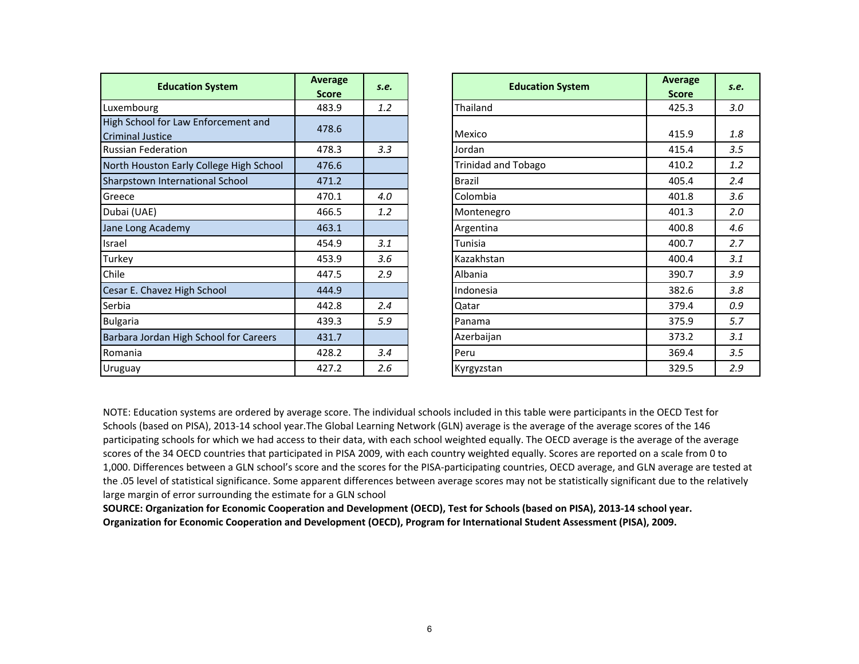| <b>Education System</b>                 | Average      | S.e. |               | <b>Education System</b>    | Average      | S.e. |
|-----------------------------------------|--------------|------|---------------|----------------------------|--------------|------|
|                                         | <b>Score</b> |      |               |                            | <b>Score</b> |      |
| Luxembourg                              | 483.9        | 1.2  | Thailand      |                            | 425.3        | 3.0  |
| High School for Law Enforcement and     | 478.6        |      |               |                            |              |      |
| <b>Criminal Justice</b>                 |              |      | Mexico        |                            | 415.9        | 1.8  |
| <b>Russian Federation</b>               | 478.3        | 3.3  | Jordan        |                            | 415.4        | 3.5  |
| North Houston Early College High School | 476.6        |      |               | <b>Trinidad and Tobago</b> | 410.2        | 1.2  |
| Sharpstown International School         | 471.2        |      | <b>Brazil</b> |                            | 405.4        | 2.4  |
| Greece                                  | 470.1        | 4.0  | Colombia      |                            | 401.8        | 3.6  |
| Dubai (UAE)                             | 466.5        | 1.2  | Montenegro    |                            | 401.3        | 2.0  |
| Jane Long Academy                       | 463.1        |      | Argentina     |                            | 400.8        | 4.6  |
| Israel                                  | 454.9        | 3.1  | Tunisia       |                            | 400.7        | 2.7  |
| Turkey                                  | 453.9        | 3.6  | Kazakhstan    |                            | 400.4        | 3.1  |
| Chile                                   | 447.5        | 2.9  | Albania       |                            | 390.7        | 3.9  |
| Cesar E. Chavez High School             | 444.9        |      | Indonesia     |                            | 382.6        | 3.8  |
| Serbia                                  | 442.8        | 2.4  | Qatar         |                            | 379.4        | 0.9  |
| <b>Bulgaria</b>                         | 439.3        | 5.9  | Panama        |                            | 375.9        | 5.7  |
| Barbara Jordan High School for Careers  | 431.7        |      | Azerbaijan    |                            | 373.2        | 3.1  |
| Romania                                 | 428.2        | 3.4  | Peru          |                            | 369.4        | 3.5  |
| Uruguay                                 | 427.2        | 2.6  | Kyrgyzstan    |                            | 329.5        | 2.9  |

| ducation System             | <b>Average</b><br><b>Score</b> | S.e. | <b>Education System</b>    | <b>Average</b><br><b>Score</b> | S.e. |
|-----------------------------|--------------------------------|------|----------------------------|--------------------------------|------|
|                             | 483.9                          | 1.2  | Thailand                   | 425.3                          | 3.0  |
| or Law Enforcement and<br>æ | 478.6                          |      | Mexico                     | 415.9                          | 1.8  |
| ation                       | 478.3                          | 3.3  | Jordan                     | 415.4                          | 3.5  |
| n Early College High School | 476.6                          |      | <b>Trinidad and Tobago</b> | 410.2                          | 1.2  |
| ternational School          | 471.2                          |      | <b>Brazil</b>              | 405.4                          | 2.4  |
|                             | 470.1                          | 4.0  | Colombia                   | 401.8                          | 3.6  |
|                             | 466.5                          | 1.2  | Montenegro                 | 401.3                          | 2.0  |
| demy                        | 463.1                          |      | Argentina                  | 400.8                          | 4.6  |
|                             | 454.9                          | 3.1  | Tunisia                    | 400.7                          | 2.7  |
|                             | 453.9                          | 3.6  | Kazakhstan                 | 400.4                          | 3.1  |
|                             | 447.5                          | 2.9  | Albania                    | 390.7                          | 3.9  |
| ez High School              | 444.9                          |      | Indonesia                  | 382.6                          | 3.8  |
|                             | 442.8                          | 2.4  | Qatar                      | 379.4                          | 0.9  |
|                             | 439.3                          | 5.9  | Panama                     | 375.9                          | 5.7  |
| n High School for Careers   | 431.7                          |      | Azerbaijan                 | 373.2                          | 3.1  |
|                             | 428.2                          | 3.4  | Peru                       | 369.4                          | 3.5  |
|                             | 427.2                          | 2.6  | Kyrgyzstan                 | 329.5                          | 2.9  |

NOTE: Education systems are ordered by average score. The individual schools included in this table were participants in the OECD Test for Schools (based on PISA), <sup>2013</sup>‐<sup>14</sup> school year.The Global Learning Network (GLN) average is the average of the average scores of the <sup>146</sup> participating schools for which we had access to their data, with each school weighted equally. The OECD average is the average of the average scores of the 34 OECD countries that participated in PISA 2009, with each country weighted equally. Scores are reported on a scale from 0 to<br>1.000 Piff 1,000. Differences between <sup>a</sup> GLN school's score and the scores for the PISA‐participating countries, OECD average, and GLN average are tested at the .05 level of statistical significance. Some apparent differences between average scores may not be statistically significant due to the relatively large margin of error surrounding the estimate for <sup>a</sup> GLN school

SOURCE: Organization for Economic Cooperation and Development (OECD), Test for Schools (based on PISA), 2013-14 school year. **Organization for Economic Cooperation and Development (OECD), Program for International Student Assessment (PISA), 2009.**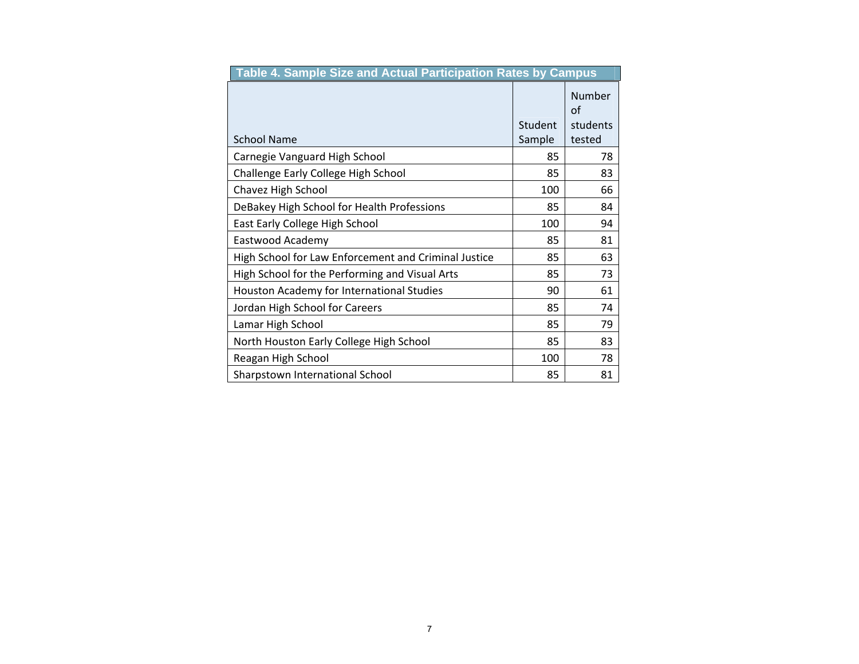| Table 4. Sample Size and Actual Participation Rates by Campus |         |              |
|---------------------------------------------------------------|---------|--------------|
|                                                               |         | Number<br>of |
|                                                               | Student | students     |
| <b>School Name</b>                                            | Sample  | tested       |
| Carnegie Vanguard High School                                 | 85      | 78           |
| Challenge Early College High School                           | 85      | 83           |
| Chavez High School                                            | 100     | 66           |
| DeBakey High School for Health Professions                    | 85      | 84           |
| East Early College High School                                | 100     | 94           |
| Eastwood Academy                                              | 85      | 81           |
| High School for Law Enforcement and Criminal Justice          | 85      | 63           |
| High School for the Performing and Visual Arts                | 85      | 73           |
| Houston Academy for International Studies                     | 90      | 61           |
| Jordan High School for Careers                                | 85      | 74           |
| Lamar High School                                             | 85      | 79           |
| North Houston Early College High School                       | 85      | 83           |
| Reagan High School                                            | 100     | 78           |
| Sharpstown International School                               | 85      | 81           |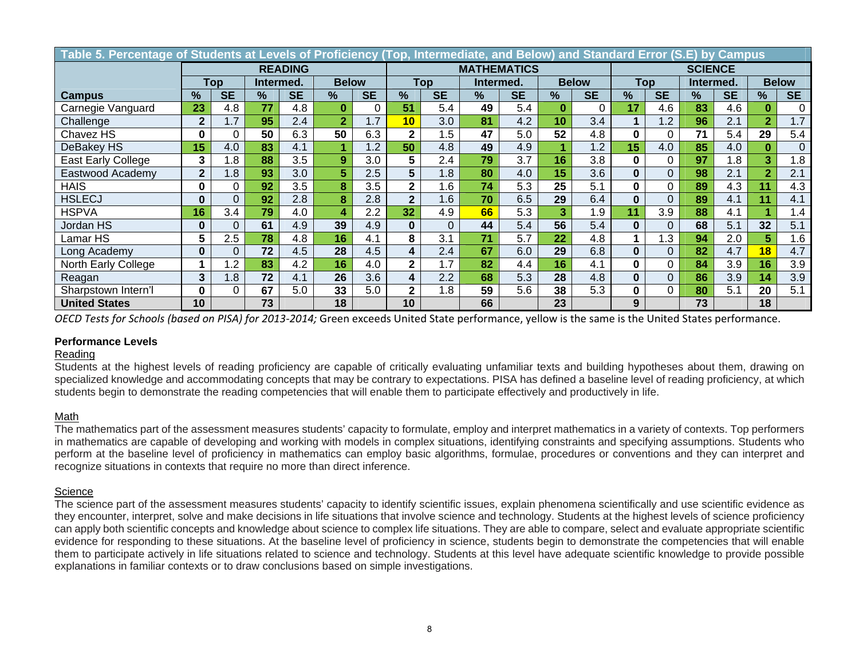| Table 5. Percentage of Students at Levels of Proficiency (Top, Intermediate, and Below) and Standard Error (S.E) by Campus |                  |           |           |           |                |           |                |           |           |                    |                |                |          |           |           |           |                |           |  |
|----------------------------------------------------------------------------------------------------------------------------|------------------|-----------|-----------|-----------|----------------|-----------|----------------|-----------|-----------|--------------------|----------------|----------------|----------|-----------|-----------|-----------|----------------|-----------|--|
|                                                                                                                            | <b>READING</b>   |           |           |           |                |           |                |           |           | <b>MATHEMATICS</b> |                | <b>SCIENCE</b> |          |           |           |           |                |           |  |
|                                                                                                                            | Top              |           | Intermed. |           | <b>Below</b>   |           | Top            |           | Intermed. |                    | <b>Below</b>   |                | Top      |           | Intermed. |           | <b>Below</b>   |           |  |
| <b>Campus</b>                                                                                                              | %                | <b>SE</b> | $\%$      | <b>SE</b> | $\frac{9}{6}$  | <b>SE</b> | $\frac{9}{6}$  | <b>SE</b> | %         | <b>SE</b>          | $\%$           | <b>SE</b>      | %        | <b>SE</b> | $\%$      | <b>SE</b> | %              | <b>SE</b> |  |
| Carnegie Vanguard                                                                                                          | 23               | 4.8       | 77        | 4.8       | $\bf{0}$       |           | 51             | 5.4       | 49        | 5.4                | $\bf{0}$       | 0              | 17       | 4.6       | 83        | 4.6       |                | 0         |  |
| Challenge                                                                                                                  | $\mathbf{2}$     | 1.7       | 95        | 2.4       | $\overline{2}$ | 1.7       | 10             | 3.0       | 81        | 4.2                | 10             | 3.4            |          | 1.2       | 96        | 2.1       | $\overline{2}$ | 1.7       |  |
| Chavez HS                                                                                                                  | 0                |           | 50        | 6.3       | 50             | 6.3       | $\mathbf{2}$   | 1.5       | 47        | 5.0                | 52             | 4.8            |          | 0         | 71        | 5.4       | 29             | 5.4       |  |
| DeBakey HS                                                                                                                 | 15               | 4.0       | 83        | 4.1       |                | 1.2       | 50             | 4.8       | 49        | 4.9                |                | 1.2            | 15       | 4.0       | 85        | 4.0       | $\bf{0}$       | $\Omega$  |  |
| <b>East Early College</b>                                                                                                  | 3                | .8        | 88        | 3.5       | 9              | 3.0       | 5              | 2.4       | 79        | 3.7                | 16             | 3.8            | 0        | $\Omega$  | 97        | 1.8       | 3              | 1.8       |  |
| Eastwood Academy                                                                                                           | $\boldsymbol{2}$ | 1.8       | 93        | 3.0       | 5              | 2.5       | 5              | 1.8       | 80        | 4.0                | 15             | 3.6            |          | $\Omega$  | 98        | 2.1       | $\overline{2}$ | 2.1       |  |
| <b>HAIS</b>                                                                                                                | 0                |           | 92        | 3.5       | 8              | 3.5       | $\mathbf{2}$   | 1.6       | 74        | 5.3                | 25             | 5.1            |          | $\Omega$  | 89        | 4.3       | 11             | 4.3       |  |
| <b>HSLECJ</b>                                                                                                              | $\bf{0}$         |           | 92        | 2.8       | 8              | 2.8       | $\overline{2}$ | 1.6       | 70        | 6.5                | 29             | 6.4            |          | $\Omega$  | 89        | 4.1       | 11             | 4.1       |  |
| HSPVA                                                                                                                      | 16               | 3.4       | 79        | 4.0       | 4              | 2.2       | 32             | 4.9       | 66        | 5.3                | 3 <sup>1</sup> | 1.9            | 11       | 3.9       | 88        | 4.1       |                | 1.4       |  |
| Jordan HS                                                                                                                  | $\bf{0}$         |           | 61        | 4.9       | 39             | 4.9       | $\bf{0}$       | 0         | 44        | 5.4                | 56             | 5.4            | 0        | $\Omega$  | 68        | 5.1       | 32             | 5.1       |  |
| Lamar HS                                                                                                                   | 5                | 2.5       | 78        | 4.8       | 16             | 4.1       | 8              | 3.1       | 71        | 5.7                | 22             | 4.8            |          | 1.3       | 94        | 2.0       | 5              | 1.6       |  |
| Long Academy                                                                                                               | $\bf{0}$         |           | 72        | 4.5       | 28             | 4.5       | 4              | 2.4       | 67        | 6.0                | 29             | 6.8            | $\bf{0}$ | $\Omega$  | 82        | 4.7       | 18             | 4.7       |  |
| North Early College                                                                                                        |                  | 1.2       | 83        | 4.2       | 16             | 4.0       | $\mathbf{2}$   | 1.7       | 82        | 4.4                | 16             | 4.1            | 0        | $\Omega$  | 84        | 3.9       | 16             | 3.9       |  |
| Reagan                                                                                                                     | 3                | 1.8       | 72        | 4.1       | 26             | 3.6       | 4              | 2.2       | 68        | 5.3                | 28             | 4.8            |          | $\Omega$  | 86        | 3.9       | 14             | 3.9       |  |
| Sharpstown Intern'l                                                                                                        | 0                |           | 67        | 5.0       | 33             | 5.0       | $\mathbf{2}$   | 1.8       | 59        | 5.6                | 38             | 5.3            | 0        | $\Omega$  | 80        | 5.1       | 20             | 5.1       |  |
| <b>United States</b>                                                                                                       | 10               |           | 73        |           | 18             |           | 10             |           | 66        |                    | 23             |                | 9        |           | 73        |           | 18             |           |  |

*OECD Tests for Schools (based on PISA) for 2013‐2014;* Green exceeds United State performance, yellow is the same is the United States performance.

### **Performance Levels**

### Reading

Students at the highest levels of reading proficiency are capable of critically evaluating unfamiliar texts and building hypotheses about them, drawing on specialized knowledge and accommodating concepts that may be contrary to expectations. PISA has defined a baseline level of reading proficiency, at which students begin to demonstrate the reading competencies that will enable them to participate effectively and productively in life.

### Math

The mathematics part of the assessment measures students' capacity to formulate, employ and interpret mathematics in a variety of contexts. Top performers in mathematics are capable of developing and working with models in complex situations, identifying constraints and specifying assumptions. Students who perform at the baseline level of proficiency in mathematics can employ basic algorithms, formulae, procedures or conventions and they can interpret and recognize situations in contexts that require no more than direct inference.

### **Science**

The science part of the assessment measures students' capacity to identify scientific issues, explain phenomena scientifically and use scientific evidence as they encounter, interpret, solve and make decisions in life situations that involve science and technology. Students at the highest levels of science proficiency can apply both scientific concepts and knowledge about science to complex life situations. They are able to compare, select and evaluate appropriate scientific evidence for responding to these situations. At the baseline level of proficiency in science, students begin to demonstrate the competencies that will enable them to participate actively in life situations related to science and technology. Students at this level have adequate scientific knowledge to provide possible explanations in familiar contexts or to draw conclusions based on simple investigations.